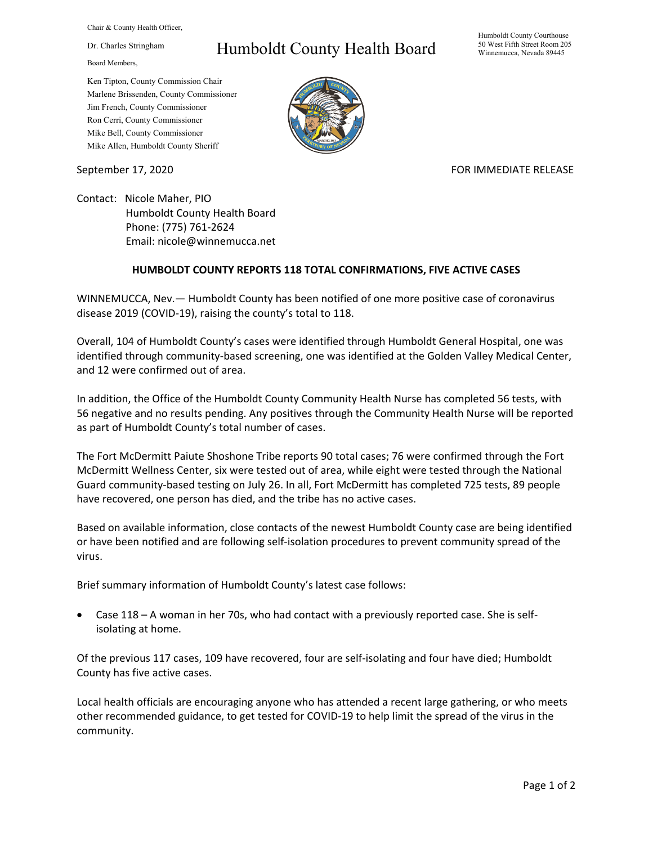Chair & County Health Officer,

Dr. Charles Stringham

Board Members,

## Humboldt County Health Board

Humboldt County Courthouse 50 West Fifth Street Room 205 Winnemucca, Nevada 89445

Ken Tipton, County Commission Chair Marlene Brissenden, County Commissioner Jim French, County Commissioner Ron Cerri, County Commissioner Mike Bell, County Commissioner Mike Allen, Humboldt County Sheriff

September 17, 2020 FOR IMMEDIATE RELEASE

Contact: Nicole Maher, PIO Humboldt County Health Board Phone: (775) 761-2624 Email: nicole@winnemucca.net

## **HUMBOLDT COUNTY REPORTS 118 TOTAL CONFIRMATIONS, FIVE ACTIVE CASES**

WINNEMUCCA, Nev.— Humboldt County has been notified of one more positive case of coronavirus disease 2019 (COVID-19), raising the county's total to 118.

Overall, 104 of Humboldt County's cases were identified through Humboldt General Hospital, one was identified through community-based screening, one was identified at the Golden Valley Medical Center, and 12 were confirmed out of area.

In addition, the Office of the Humboldt County Community Health Nurse has completed 56 tests, with 56 negative and no results pending. Any positives through the Community Health Nurse will be reported as part of Humboldt County's total number of cases.

The Fort McDermitt Paiute Shoshone Tribe reports 90 total cases; 76 were confirmed through the Fort McDermitt Wellness Center, six were tested out of area, while eight were tested through the National Guard community-based testing on July 26. In all, Fort McDermitt has completed 725 tests, 89 people have recovered, one person has died, and the tribe has no active cases.

Based on available information, close contacts of the newest Humboldt County case are being identified or have been notified and are following self-isolation procedures to prevent community spread of the virus.

Brief summary information of Humboldt County's latest case follows:

• Case 118 – A woman in her 70s, who had contact with a previously reported case. She is selfisolating at home.

Of the previous 117 cases, 109 have recovered, four are self-isolating and four have died; Humboldt County has five active cases.

Local health officials are encouraging anyone who has attended a recent large gathering, or who meets other recommended guidance, to get tested for COVID-19 to help limit the spread of the virus in the community.